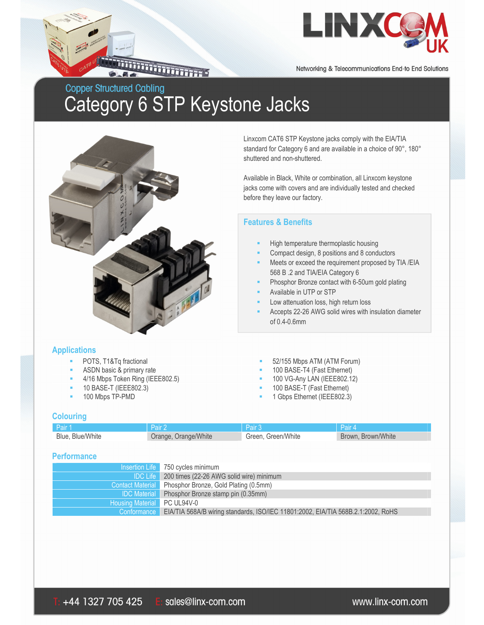

Networking & Telecommunications End-to End Solutions

## **Copper Structured Cabling** Category 6 STP Keystone Jacks

**THE REAL PROPERTY** 



Linxcom CAT6 STP Keystone jacks comply with the EIA/TIA standard for Category 6 and are available in a choice of 90°, 180° shuttered and non-shuttered.

Available in Black, White or combination, all Linxcom keystone jacks come with covers and are individually tested and checked before they leave our factory.

### **Features & Benefits**

- High temperature thermoplastic housing
- Compact design, 8 positions and 8 conductors
- Meets or exceed the requirement proposed by TIA /EIA 568 B .2 and TIA/EIA Category 6
- Phosphor Bronze contact with 6-50um gold plating
- Available in UTP or STP
- Low attenuation loss, high return loss
- Accepts 22-26 AWG solid wires with insulation diameter of 0.4-0.6mm

#### **Applications**

- POTS, T1&Tq fractional 52/155 Mbps ATM (ATM Forum)
- ASDN basic & primary rate **100 BASE-T4** (Fast Ethernet)
- 4/16 Mbps Token Ring (IEEE802.5) 100 VG-Any LAN (IEEE802.12)
- 10 BASE-T (IEEE802.3) 100 BASE-T (Fast Ethernet)
- 100 Mbps TP-PMD **100 Mbps** TP-PMD

#### **Colouring**

| Pair 1           |                      | Pair 3             | Pair 4             |
|------------------|----------------------|--------------------|--------------------|
| Blue, Blue/White | Orange, Orange/White | Green, Green/White | Brown, Brown/White |

#### **Performance**

|                             | Insertion Life 750 cycles minimum                                                              |
|-----------------------------|------------------------------------------------------------------------------------------------|
|                             | <b>IDC Life</b> 200 times (22-26 AWG solid wire) minimum                                       |
|                             | Contact Material Phosphor Bronze, Gold Plating (0.5mm)                                         |
|                             | <b>IDC Material</b> Phosphor Bronze stamp pin (0.35mm)                                         |
| Housing Material PC UL94V-0 |                                                                                                |
|                             | Conformance   EIA/TIA 568A/B wiring standards, ISO/IEC 11801:2002, EIA/TIA 568B.2.1:2002, RoHS |